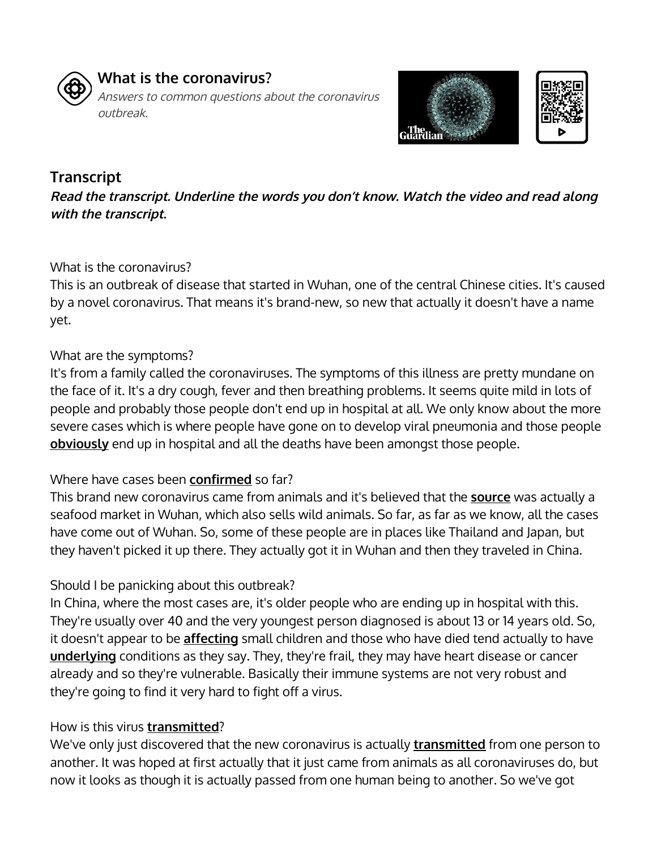

# **What is the coronavirus?**

Answers to common questions about the coronavirus outbreak.



## **Transcript**

**Read the transcript. Underline the words you don't know. Watch the video and read along with the transcript.**

### What is the coronavirus?

This is an outbreak of disease that started in Wuhan, one of the central Chinese cities. It's caused by a novel coronavirus. That means it's brand-new, so new that actually it doesn't have a name yet.

### What are the symptoms?

It's from a family called the coronaviruses. The symptoms of this illness are pretty mundane on the face of it. It's a dry cough, fever and then breathing problems. It seems quite mild in lots of people and probably those people don't end up in hospital at all. We only know about the more severe cases which is where people have gone on to develop viral pneumonia and those people **obviously** end up in hospital and all the deaths have been amongst those people.

### Where have cases been **confirmed** so far?

This brand new coronavirus came from animals and it's believed that the **source** was actually a seafood market in Wuhan, which also sells wild animals. So far, as far as we know, all the cases have come out of Wuhan. So, some of these people are in places like Thailand and Japan, but they haven't picked it up there. They actually got it in Wuhan and then they traveled in China.

## Should I be panicking about this outbreak?

In China, where the most cases are, it's older people who are ending up in hospital with this. They're usually over 40 and the very youngest person diagnosed is about 13 or 14 years old. So, it doesn't appear to be **affecting** small children and those who have died tend actually to have **underlying** conditions as they say. They, they're frail, they may have heart disease or cancer already and so they're vulnerable. Basically their immune systems are not very robust and they're going to find it very hard to fight off a virus.

## How is this virus **transmitted**?

We've only just discovered that the new coronavirus is actually **transmitted** from one person to another. It was hoped at first actually that it just came from animals as all coronaviruses do, but now it looks as though it is actually passed from one human being to another. So we've got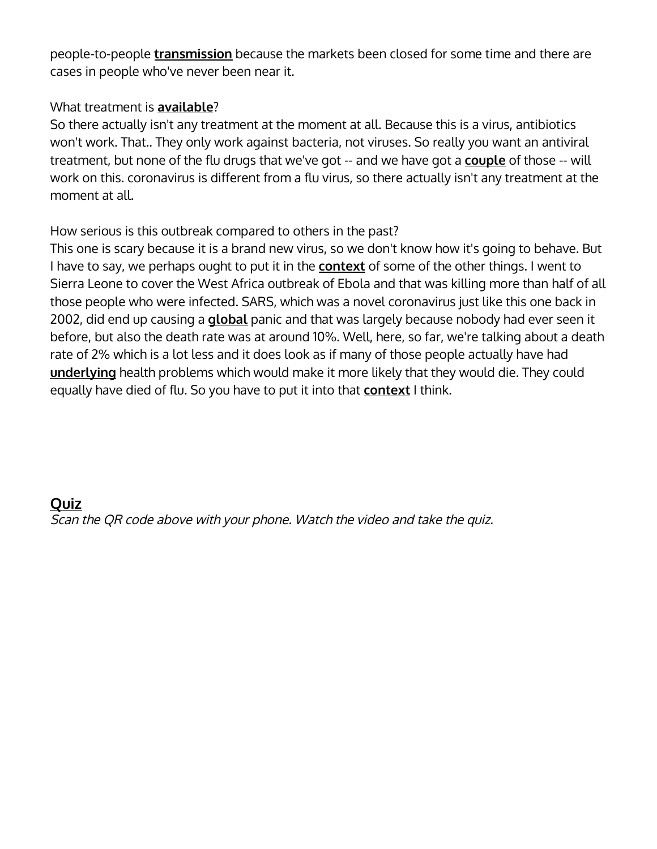people-to-people **transmission** because the markets been closed for some time and there are cases in people who've never been near it.

### What treatment is **available**?

So there actually isn't any treatment at the moment at all. Because this is a virus, antibiotics won't work. That.. They only work against bacteria, not viruses. So really you want an antiviral treatment, but none of the flu drugs that we've got -- and we have got a **couple** of those -- will work on this. coronavirus is different from a flu virus, so there actually isn't any treatment at the moment at all.

### How serious is this outbreak compared to others in the past?

This one is scary because it is a brand new virus, so we don't know how it's going to behave. But I have to say, we perhaps ought to put it in the **context** of some of the other things. I went to Sierra Leone to cover the West Africa outbreak of Ebola and that was killing more than half of all those people who were infected. SARS, which was a novel coronavirus just like this one back in 2002, did end up causing a **global** panic and that was largely because nobody had ever seen it before, but also the death rate was at around 10%. Well, here, so far, we're talking about a death rate of 2% which is a lot less and it does look as if many of those people actually have had **underlying** health problems which would make it more likely that they would die. They could equally have died of flu. So you have to put it into that **context** I think.

# **Quiz** Scan the QR code above with your phone. Watch the video and take the quiz.